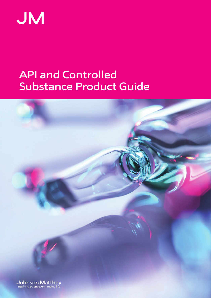

## **Substance Product Guide** API and Controlled

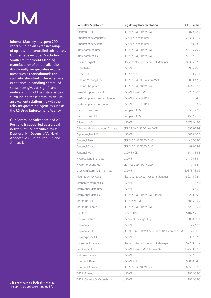## **JM**

Johnson Matthey has spent 200 years building an extensive range of opiates and controlled substances. Our heritage includes Macfarlan Smith Ltd, the world's leading manufacturer of opiate alkaloids. Additionally we specialise in other areas such as cannabinoids and synthetic stimulants. Our extensive experience in handling controlled substances gives us significant understanding of the critical issues surrounding these areas, as well as an excellent relationship with the relevant governing agencies such as the US Drug Enforcement Agency.

Our Controlled Substance and API Portfolio is supported by a global network of GMP facilities: West Deptford, NJ; Devens, MA; North Andover, MA; Edinburgh, UK and Annan, UK.



| <b>Controlled Substances</b>     | <b>Regulatory Documentation</b>                | <b>CAS</b> number |
|----------------------------------|------------------------------------------------|-------------------|
| Alfentanil HCl                   | CEP / USDMF / RoW DMF                          | 70879-28-6        |
| Amphetamine Aspartate            | USDMF / Canada DMF                             | 25333-81-7        |
| Amphetamine Sulfate              | USDMF / Canada DMF                             | $60 - 13 - 9$     |
| <b>Buprenorphine Base</b>        | CEP / USDMF / RoW DMF                          | 52485-79-7        |
| Buprenorphine HCl                | CEP / USDMF / RoW DMF                          | 53152-21-9        |
| Calcium Oxybate                  | Please contact your Account Manager            | 82316-97-0        |
| Cannabidiol                      | <b>USDMF</b>                                   | 13956-29-1        |
| Cocaine HCI                      | CEP / Japan                                    | $53 - 21 - 4$     |
| Codeine Monohydrate              | CEP / USDMF / European ASMF                    | 6059-47-8         |
| Codeine Phosphate                | CEP / USDMF / RoW DMF                          | 41444-62-6        |
| Dexmethylphenidate HCl           | USDMF / RoW DMF                                | 19262-68-1        |
| Dextroamphetamine Saccharate     | USDMF / Canada DMF                             | $51 - 64 - 9$     |
| Dextroamphetamine Sulfate        | USDMF / Canada DMF                             | $51 - 63 - 8$     |
| Diamorphine Base                 | European ASMF                                  | 561-27-3          |
| Diamorphine HCl                  | European ASMF                                  | 1502-95-0         |
| Difenoxin HCl                    | <b>USDMF</b>                                   | 28782-42-5        |
| Dihydrocodeine Hydrogen Tartrate | CEP / RoW DMF / China DMF                      | 5965-13-9         |
| Diphenoxylate HCl                | <b>USDMF</b>                                   | 3810-80-8         |
| Fentanyl Base                    | CEP / USDMF / RoW DMF                          | 437-38-7          |
| Fentanyl Citrate                 | CEP / USDMF / RoW DMF                          | 990-73-8          |
| Fentanyl HCl                     | USDMF / CEP                                    | 1443-54-5         |
| Hydrocodone Bitartrate           | <b>USDMF</b>                                   | 34195-34-1        |
| Hydromorphone HCl                | CEP / USDMF / RoW DMF                          | $71 - 68 - 1$     |
| Lisdexamfetamine Dimesylate      | <b>USDMF</b>                                   | 608137-33-3       |
| Magnesium Oxybate                | Please contact your Account Manager            | 82316-98-1        |
| Methamphetamine HCl              | <b>USDMF</b>                                   | $51 - 57 - 0$     |
| Methylphenidate Base             | <b>USDMF</b>                                   | $113 - 45 - 1$    |
| Methylphenidate HCl              | CEP / USDMF / RoW DMF / Japan                  | 298-59-9          |
| Morphine HCl                     | CEP / RoW DMF                                  | 6055-06-7         |
| Morphine Sulfate                 | CEP / USDMF / RoW DMF                          | $6211 - 15 - 0$   |
| Nabilone                         | Canada DMF                                     | 51022-71-0        |
| Opium Tincture                   | Technical Package Only                         | 8008-60-4         |
| Oxycodone Base                   | <b>USDMF</b>                                   | 76-42-6           |
| Oxycodone HCl                    | CEP / USDMF / RoW DMF / China DMF / Korean DMF | 124-90-3          |
| Oxymorphone HCl                  | <b>USDMF</b>                                   | 357-07-3          |
| Potassium Oxybate                | Please contact your Account Manager            | 57769-01-4        |
| Remifentanil HCl                 | USDMF / RoW DMF / Korean DMF                   | 132539-07-2       |
| Sodium Oxybate                   | <b>USDMF</b>                                   | $502 - 85 - 2$    |
| Sufentanil Base                  | USDMF / CEP                                    | 56030-54-7        |
| Sufentanil Citrate               | CEP / USDMF / RoW DMF                          | 60561-17-3        |
| THC in Ethanol                   | <b>USDMF</b>                                   | 1972-08-3         |
| THC in Sesame Oil/Dronabinol     | <b>USDMF</b>                                   | 1972-08-3         |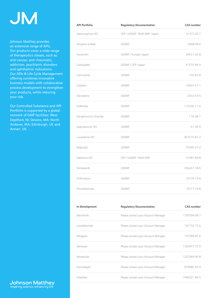## **JM**

Johnson Matthey provides an extensive range of APIs. Our products cover a wide range of therapeutics classes, such as: anti-cancer, anti-rheumatic, addiction, psychiatric disorders and ophthalmic indications. Our APIs & Life Cycle Management offering combines innovative business models with collaborative process development to strengthen your products, while reducing your risk.

Our Controlled Substance and API Portfolio is supported by a global network of GMP facilities: West Deptford, NJ; Devens, MA; North Andover, MA; Edinburgh, UK and Annan, UK.

| <b>API Portfolio</b> | <b>Regulatory Documentation</b> | <b>CAS number</b> |
|----------------------|---------------------------------|-------------------|
| Apomorphine HCl      | CEP / USDMF / RoW DMF / Japan   | 41372-20-7        |
| Atropine Sulfate     | <b>USDMF</b>                    | 5908-99-6         |
| Auranofin            | USDMF / Europe / Japan          | 34031-32-8        |
| Carboplatin          | USDMF / CEP / Japan             | 41575-94-4        |
| Carmustine           | <b>USDMF</b>                    | 154-93-8          |
| Cisplatin            | <b>USDMF</b>                    | 15663-27-1        |
| Decitabine           | <b>USDMF</b>                    | 2353-33-5         |
| Dofetilide           | <b>USDMF</b>                    | 115256-11-6       |
| Edrophonium Chloride | <b>USDMF</b>                    | $116 - 38 - 1$    |
| Isoproterenol HCl    | <b>USDMF</b>                    | $51 - 30 - 9$     |
| Lurasidone HCl       | <b>USDMF</b>                    | 367514-87-2       |
| Miglustat            | <b>USDMF</b>                    | 72599-27-0        |
| Naloxone HCl         | CEP / USDMF / RoW DMF           | 51481-60-8        |
| Nintedanib           | <b>USDMF</b>                    | 656247-18-6       |
| Pirfenidone          | <b>USDMF</b>                    | 53179-13-8        |
| Pomalidomide         | <b>USDMF</b>                    | 19171-19-8        |
|                      |                                 |                   |

| <b>In Development</b> | <b>Regulatory Documentation</b>     | <b>CAS</b> number |
|-----------------------|-------------------------------------|-------------------|
| <b>Baricitinib</b>    | Please contact your Account Manager | 1187594-09-7      |
| Lenalidomide          | Please contact your Account Manager | 191732-72-6       |
| Relugolix             | Please contact your Account Manager | 737789-87-6       |
| Selinexor             | Please contact your Account Manager | 1393477-72-9      |
| Venetoclax            | Please contact your Account Manager | 1257044-40-8      |
| Vismodegib            | Please contact your Account Manager | 879085-55-9       |
| Voxelotor             | Please contact your Account Manager | 1446321-46-5      |